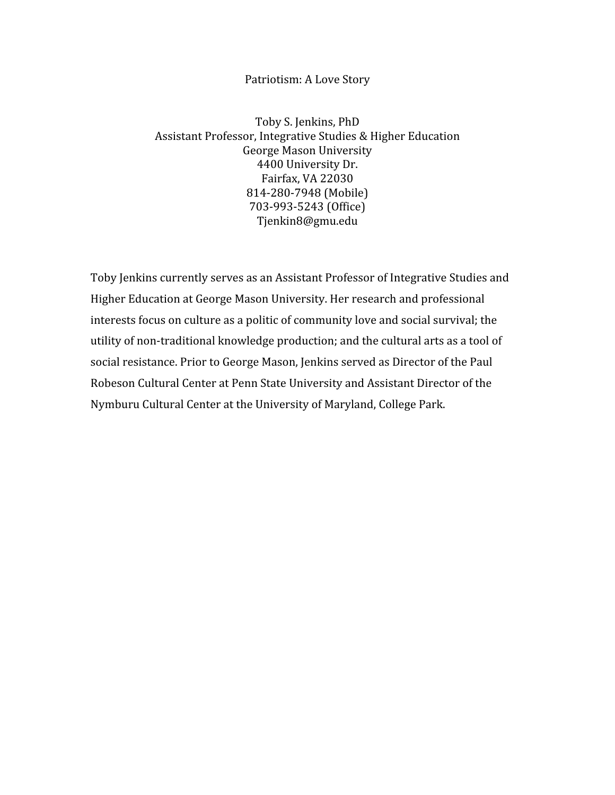## Patriotism:
A
Love
Story

Toby
S.
Jenkins,
PhD Assistant
Professor,
Integrative
Studies
&
Higher
Education George
Mason
University 4400
University
Dr. Fairfax,
VA
22030 814‐280‐7948
(Mobile) 703‐993‐5243
(Office) Tjenkin8@gmu.edu

Toby
Jenkins
currently
serves
as
an
Assistant
Professor
of
Integrative
Studies
and Higher
Education
at
George
Mason
University.
Her
research
and
professional interests focus on culture as a politic of community love and social survival; the utility of non-traditional knowledge production; and the cultural arts as a tool of social resistance. Prior to George Mason, Jenkins served as Director of the Paul Robeson Cultural Center at Penn State University and Assistant Director of the Nymburu
Cultural
Center
at
the
University
of
Maryland,
College
Park.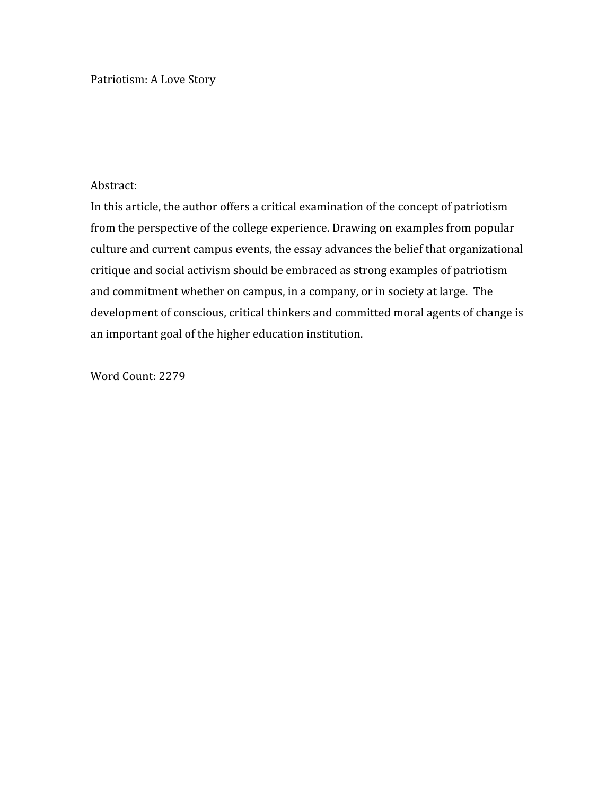Patriotism:
A
Love
Story

## Abstract:

In this article, the author offers a critical examination of the concept of patriotism from the perspective of the college experience. Drawing on examples from popular culture
and
current
campus
events,
the
essay
advances
the
belief
that
organizational critique
and
social
activism
should
be
embraced
as
strong
examples
of
patriotism and
commitment
whether
on
campus,
in
a
company,
or
in
society
at
large.

The development of conscious, critical thinkers and committed moral agents of change is an
important
goal
of
the
higher
education
institution.

Word
Count:
2279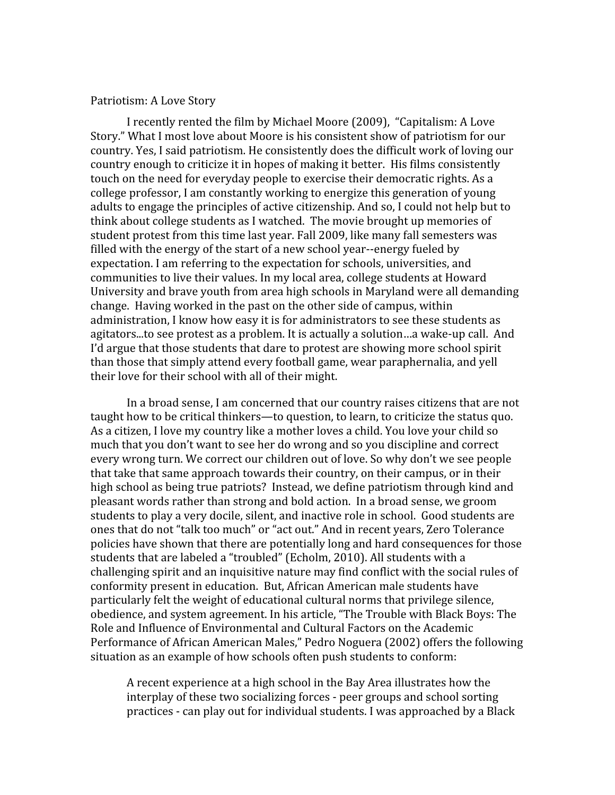## Patriotism:
A
Love
Story

I
recently
rented
the
film
by
Michael
Moore
(2009),

"Capitalism:
A
Love Story."
What
I
most
love
about
Moore
is
his
consistent
show
of
patriotism
for
our country. Yes, I said patriotism. He consistently does the difficult work of loving our country enough to criticize it in hopes of making it better. His films consistently touch on the need for everyday people to exercise their democratic rights. As a college
professor,
I
am
constantly
working
to
energize
this
generation
of
young adults to engage the principles of active citizenship. And so, I could not help but to think
about
college
students
as
I
watched.

The
movie
brought
up
memories
of student
protest
from
this
time
last
year.
Fall
2009,
like
many
fall
semesters
was filled with the energy of the start of a new school year--energy fueled by expectation.
I
am
referring
to
the
expectation
for
schools,
universities,
and communities to live their values. In my local area, college students at Howard University and brave youth from area high schools in Maryland were all demanding change.

Having
worked
in
the
past
on
the
other
side
of
campus,
within administration,
I
know
how
easy
it
is
for
administrators
to
see
these
students
as agitators...to see protest as a problem. It is actually a solution...a wake-up call. And I'd argue that those students that dare to protest are showing more school spirit than
those
that
simply
attend
every
football
game,
wear
paraphernalia,
and
yell their
love
for
their
school
with
all
of
their
might.

In a broad sense, I am concerned that our country raises citizens that are not taught how to be critical thinkers—to question, to learn, to criticize the status quo. As a citizen, I love my country like a mother loves a child. You love your child so much
that
you
don't
want
to
see
her
do
wrong
and
so
you
discipline
and
correct every
wrong
turn.
We
correct
our
children
out
of
love.
So
why
don't
we
see
people that take that same approach towards their country, on their campus, or in their high school as being true patriots? Instead, we define patriotism through kind and pleasant
words
rather
than
strong
and
bold
action.

In
a
broad
sense,
we
groom students to play a very docile, silent, and inactive role in school. Good students are ones
that
do
not
"talk
too
much"
or
"act
out."
And
in
recent
years,
Zero
Tolerance policies
have
shown
that
there
are
potentially
long
and
hard
consequences
for
those students that are labeled a "troubled" (Echolm, 2010). All students with a challenging
spirit
and
an
inquisitive
nature
may
find
conflict
with
the
social
rules
of conformity
present
in
education.

But,
African
American
male
students
have particularly
felt
the
weight
of
educational
cultural
norms
that
privilege
silence, obedience,
and
system
agreement.
In
his
article, "The
Trouble
with
Black
Boys:
The Role
and
Influence
of
Environmental
and
Cultural
Factors
on
the
Academic Performance of African American Males," Pedro Noguera (2002) offers the following situation as an example of how schools often push students to conform:

A
recent
experience
at
a
high
school
in
the
Bay
Area
illustrates
how
the interplay of these two socializing forces - peer groups and school sorting practices
‐
can
play
out
for
individual
students.
I
was
approached
by
a
Black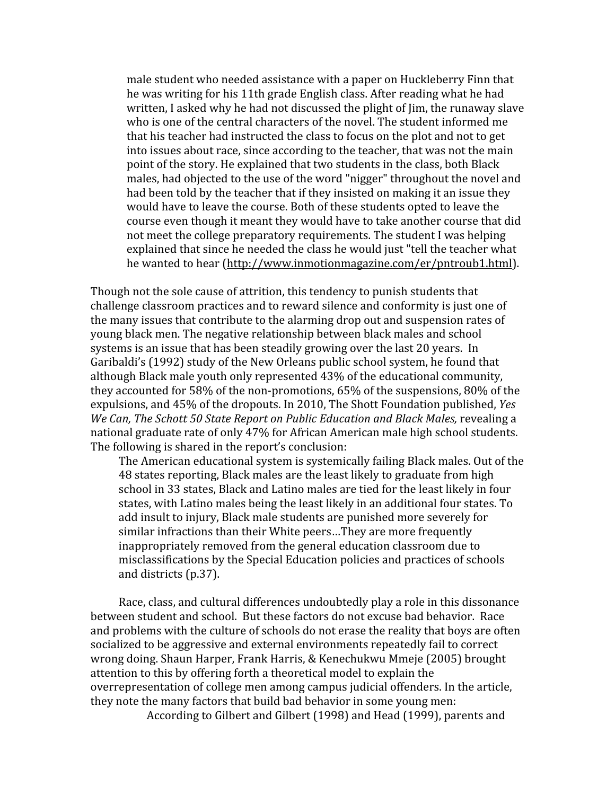male
student
who
needed
assistance
with
a
paper
on
Huckleberry
Finn
that he was writing for his 11th grade English class. After reading what he had written, I asked why he had not discussed the plight of Jim, the runaway slave who is one of the central characters of the novel. The student informed me that
his
teacher
had
instructed
the
class
to
focus
on
the
plot
and
not
to
get into
issues
about
race,
since
according
to
the
teacher,
that
was
not
the
main point
of
the
story.
He
explained
that
two
students
in
the
class,
both
Black males, had objected to the use of the word "nigger" throughout the novel and had been told by the teacher that if they insisted on making it an issue they would have to leave the course. Both of these students opted to leave the course
even
though
it
meant
they
would
have
to
take
another
course
that
did not
meet
the
college
preparatory
requirements.
The
student
I
was
helping explained
that
since
he
needed
the
class
he
would
just
"tell
the
teacher
what he wanted to hear (http://www.inmotionmagazine.com/er/pntroub1.html).

Though
not
the
sole
cause
of
attrition,
this
tendency
to
punish
students
that challenge
classroom
practices
and
to
reward
silence
and
conformity
is
just
one
of the
many
issues
that
contribute
to
the
alarming
drop
out
and
suspension
rates
of young
black
men.
The
negative
relationship
between
black
males
and
school systems is an issue that has been steadily growing over the last 20 years. In Garibaldi's (1992) study of the New Orleans public school system, he found that although Black male youth only represented 43% of the educational community, they accounted for 58% of the non-promotions, 65% of the suspensions, 80% of the expulsions,
and
45%
of
the
dropouts.
In
2010,
The
Shott
Foundation
published, *Yes*  We Can, The Schott 50 State Report on Public Education and Black Males, revealing a national graduate rate of only 47% for African American male high school students. The
following
is
shared
in
the
report's
conclusion:

The
American
educational
system
is
systemically
failing
Black
males.
Out
of
the 48 states reporting, Black males are the least likely to graduate from high school
in
33
states,
Black
and
Latino
males
are
tied
for
the
least
likely
in
four states, with Latino males being the least likely in an additional four states. To add insult to injury, Black male students are punished more severely for similar
infractions
than
their
White
peers…They
are
more
frequently inappropriately
removed
from
the
general
education
classroom
due
to misclassifications
by
the
Special
Education
policies
and
practices
of
schools and
districts
(p.37).

Race, class, and cultural differences undoubtedly play a role in this dissonance between
student
and
school.

But
these
factors
do
not
excuse
bad
behavior.

Race and problems with the culture of schools do not erase the reality that boys are often socialized to be aggressive and external environments repeatedly fail to correct wrong
doing.
Shaun
Harper,
Frank
Harris,
&
Kenechukwu
Mmeje
(2005)
brought attention to this by offering forth a theoretical model to explain the overrepresentation
of
college
men among
campus
judicial
offenders.
In
the
article, they
note
the
many
factors
that
build
bad
behavior
in
some
young
men:

According
to
Gilbert
and
Gilbert
(1998)
and
Head
(1999),
parents and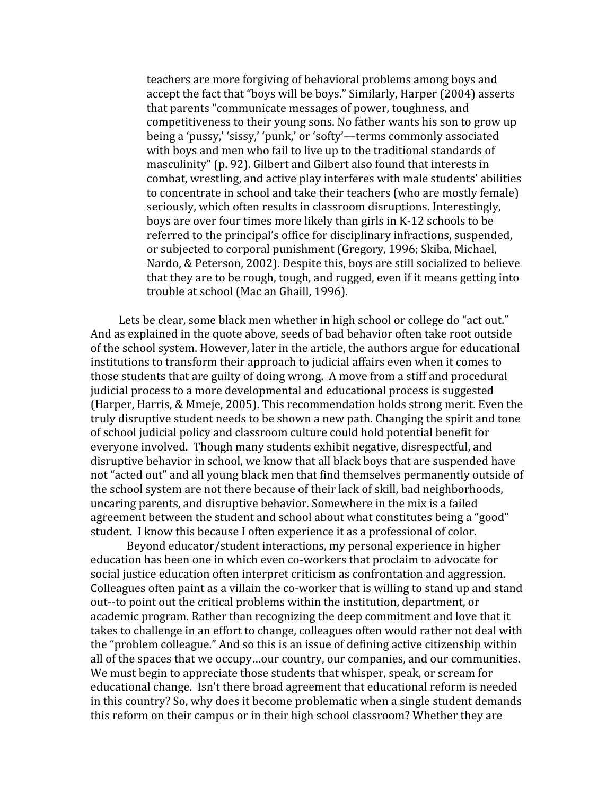teachers
are
more
forgiving
of
behavioral
problems
among
boys and accept
the
fact
that
"boys
will
be
boys."
Similarly,
Harper
(2004) asserts that
parents
"communicate
messages
of
power,
toughness,
and competitiveness
to
their
young
sons.
No
father
wants
his
son
to
grow up being
a
'pussy,'
'sissy,'
'punk,'
or
'softy'—terms
commonly
associated with boys and men who fail to live up to the traditional standards of masculinity"
(p.
92).
Gilbert
and
Gilbert
also
found
that
interests
in combat,
wrestling,
and
active
play
interferes
with
male
students'
abilities to
concentrate
in
school
and
take
their
teachers
(who
are
mostly female) seriously, which often results in classroom disruptions. Interestingly, boys
are
over
four
times
more
likely
than
girls
in
K‐12 schools
to
be referred
to
the
principal's
office
for
disciplinary
infractions,
suspended, or
subjected
to
corporal
punishment
(Gregory, 1996;
Skiba,
Michael, Nardo, & Peterson, 2002). Despite this, boys are still socialized to believe that
they
are
to
be
rough,
tough,
and rugged,
even
if
it
means
getting
into trouble
at
school
(Mac
an
Ghaill, 1996).

Lets be clear, some black men whether in high school or college do "act out." And as explained in the quote above, seeds of bad behavior often take root outside of
the
school
system.
However,
later
in
the
article,
the
authors
argue
for
educational institutions to transform their approach to judicial affairs even when it comes to those students that are guilty of doing wrong. A move from a stiff and procedural judicial
process
to
a
more
developmental
and
educational
process
is
suggested (Harper,
Harris,
&
Mmeje,
2005).
This
recommendation
holds
strong
merit.
Even
the truly
disruptive
student
needs
to
be
shown
a
new
path.
Changing
the
spirit
and
tone of
school
judicial
policy
and
classroom
culture
could
hold
potential
benefit
for everyone
involved.

Though
many
students
exhibit
negative,
disrespectful,
and disruptive behavior in school, we know that all black boys that are suspended have not "acted out" and all voung black men that find themselves permanently outside of the school system are not there because of their lack of skill, bad neighborhoods, uncaring
parents,
and
disruptive
behavior.
Somewhere
in
the
mix
is
a
failed agreement between the student and school about what constitutes being a "good" student. I know this because I often experience it as a professional of color.

Beyond educator/student interactions, my personal experience in higher education
has
been
one
in
which
even
co‐workers
that
proclaim
to
advocate
for social
justice
education
often
interpret
criticism
as
confrontation
and
aggression. Colleagues often paint as a villain the co-worker that is willing to stand up and stand out‐‐to
point
out
the
critical
problems
within
the
institution,
department,
or academic
program.
Rather
than
recognizing
the
deep
commitment
and
love
that
it takes to challenge in an effort to change, colleagues often would rather not deal with the "problem colleague." And so this is an issue of defining active citizenship within all of the spaces that we occupy...our country, our companies, and our communities. We must begin to appreciate those students that whisper, speak, or scream for educational
change.

Isn't
there
broad
agreement
that
educational
reform
is
needed in
this
country?
So,
why
does
it
become
problematic
when
a
single
student
demands this reform on their campus or in their high school classroom? Whether they are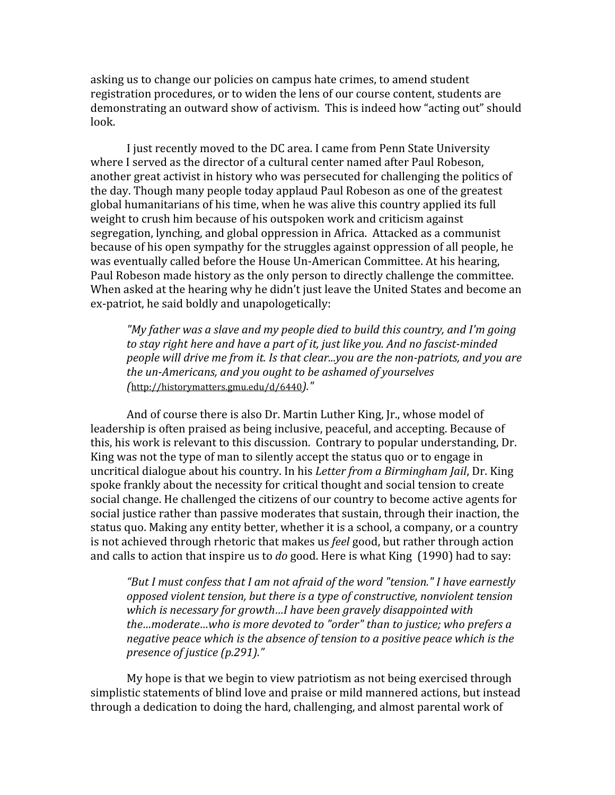asking
us
to
change
our
policies
on
campus
hate
crimes,
to
amend
student registration procedures, or to widen the lens of our course content, students are demonstrating an outward show of activism. This is indeed how "acting out" should look.

I just recently moved to the DC area. I came from Penn State University where I served as the director of a cultural center named after Paul Robeson, another
great
activist
in
history
who
was
persecuted
for
challenging
the
politics
of the
day.
Though
many
people
today
applaud
Paul
Robeson
as
one
of
the
greatest global humanitarians of his time, when he was alive this country applied its full weight
to
crush
him
because
of
his
outspoken
work
and
criticism
against segregation,
lynching,
and
global
oppression
in
Africa.

Attacked
as
a
communist because
of
his
open
sympathy
for
the
struggles
against
oppression
of
all
people,
he was eventually called before the House Un-American Committee. At his hearing, Paul Robeson made history as the only person to directly challenge the committee. When asked at the hearing why he didn't just leave the United States and become an ex‐patriot,
he
said
boldly
and
unapologetically:

"My father was a slave and my people died to build this country, and I'm going to stay right here and have a part of *it, just like you. And no fascist-minded* people will drive me from *it.* Is that clear...you are the non-patriots, and you are the un-Americans, and you ought to be ashamed of yourselves *(*http://historymatters.gmu.edu/d/6440*)."*

And
of
course
there
is
also
Dr.
Martin
Luther
King,
Jr.,
whose
model
of leadership is often praised as being inclusive, peaceful, and accepting. Because of this, his work is relevant to this discussion. Contrary to popular understanding, Dr. King was not the type of man to silently accept the status quo or to engage in uncritical
dialogue
about
his
country.
In
his *Letter
from
a
Birmingham
Jail*,
Dr.
King spoke frankly about the necessity for critical thought and social tension to create social change. He challenged the citizens of our country to become active agents for social justice rather than passive moderates that sustain, through their inaction, the status quo. Making any entity better, whether it is a school, a company, or a country is not achieved through rhetoric that makes us *feel* good, but rather through action and calls to action that inspire us to *do* good. Here is what King (1990) had to say:

"But I must confess that I am not afraid of the word "tension." I have earnestly opposed violent tension, but there is a type of constructive, nonviolent tension which is necessary for growth...I have been gravely disappointed with the...moderate...who is more devoted to "order" than to justice; who prefers a negative peace which is the absence of tension to a positive peace which is the *presence
of
justice
(p.291)."*

My
hope
is
that
we
begin
to
view
patriotism
as
not
being
exercised
through simplistic
statements
of
blind
love
and
praise
or
mild
mannered
actions,
but
instead through a dedication to doing the hard, challenging, and almost parental work of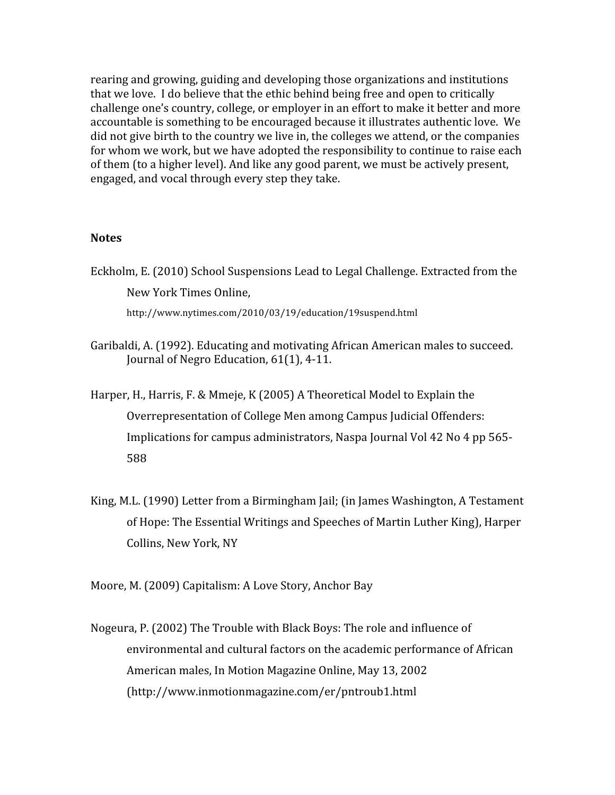rearing
and
growing,
guiding
and
developing
those
organizations
and
institutions that we love. I do believe that the ethic behind being free and open to critically challenge
one's
country,
college,
or
employer
in
an
effort
to
make
it
better
and
more accountable is something to be encouraged because it illustrates authentic love. We did not give birth to the country we live in, the colleges we attend, or the companies for whom we work, but we have adopted the responsibility to continue to raise each of
them
(to
a
higher
level).
And
like
any
good
parent,
we
must
be
actively
present, engaged,
and
vocal
through
every
step
they
take.

## **Notes**

- Eckholm,
E.
(2010)
School
Suspensions
Lead
to
Legal
Challenge.
Extracted
from
the New
York
Times
Online, http://www.nytimes.com/2010/03/19/education/19suspend.html
- Garibaldi,
A.
(1992).
Educating
and
motivating
African
American
males
to
succeed. Journal of
Negro
Education,
61(1),
4‐11.
- Harper, H., Harris, F. & Mmeje, K (2005) A Theoretical Model to Explain the Overrepresentation
of
College
Men among
Campus
Judicial
Offenders: Implications for campus administrators, Naspa Journal Vol 42 No 4 pp 565-588
- King,
M.L.
(1990)
Letter
from
a
Birmingham
Jail;
(in
James
Washington,
A
Testament of
Hope:
The
Essential
Writings
and
Speeches
of
Martin
Luther
King),
Harper Collins,
New
York,
NY

Moore,
M.
(2009)
Capitalism:
A
Love
Story,
Anchor
Bay

Nogeura,
P.
(2002)
The
Trouble
with
Black
Boys:
The
role
and
influence
of environmental
and
cultural
factors
on
the
academic
performance
of
African American
males,
In
Motion
Magazine
Online,
May
13,
2002 (http://www.inmotionmagazine.com/er/pntroub1.html